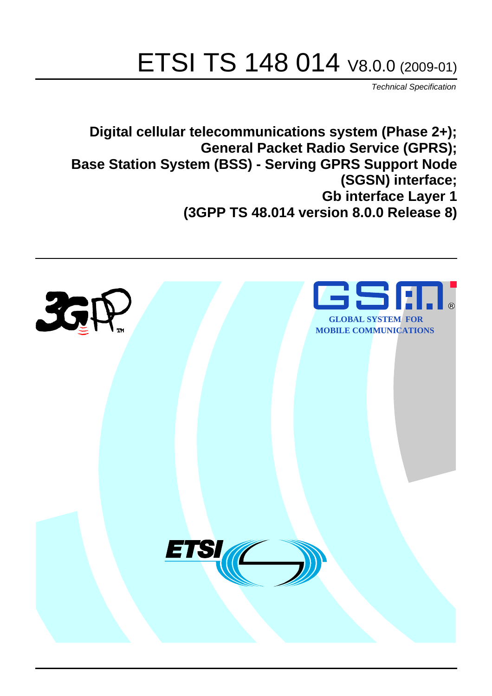# ETSI TS 148 014 V8.0.0 (2009-01)

*Technical Specification*

**Digital cellular telecommunications system (Phase 2+); General Packet Radio Service (GPRS); Base Station System (BSS) - Serving GPRS Support Node (SGSN) interface; Gb interface Layer 1 (3GPP TS 48.014 version 8.0.0 Release 8)**

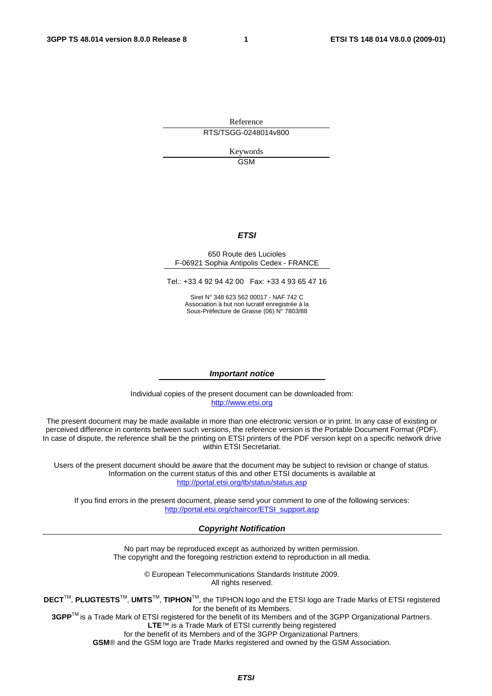Reference RTS/TSGG-0248014v800

> Keywords GSM

#### *ETSI*

#### 650 Route des Lucioles F-06921 Sophia Antipolis Cedex - FRANCE

Tel.: +33 4 92 94 42 00 Fax: +33 4 93 65 47 16

Siret N° 348 623 562 00017 - NAF 742 C Association à but non lucratif enregistrée à la Sous-Préfecture de Grasse (06) N° 7803/88

#### *Important notice*

Individual copies of the present document can be downloaded from: [http://www.etsi.org](http://www.etsi.org/)

The present document may be made available in more than one electronic version or in print. In any case of existing or perceived difference in contents between such versions, the reference version is the Portable Document Format (PDF). In case of dispute, the reference shall be the printing on ETSI printers of the PDF version kept on a specific network drive within ETSI Secretariat.

Users of the present document should be aware that the document may be subject to revision or change of status. Information on the current status of this and other ETSI documents is available at <http://portal.etsi.org/tb/status/status.asp>

If you find errors in the present document, please send your comment to one of the following services: [http://portal.etsi.org/chaircor/ETSI\\_support.asp](http://portal.etsi.org/chaircor/ETSI_support.asp)

#### *Copyright Notification*

No part may be reproduced except as authorized by written permission. The copyright and the foregoing restriction extend to reproduction in all media.

> © European Telecommunications Standards Institute 2009. All rights reserved.

**DECT**TM, **PLUGTESTS**TM, **UMTS**TM, **TIPHON**TM, the TIPHON logo and the ETSI logo are Trade Marks of ETSI registered for the benefit of its Members.

**3GPP**TM is a Trade Mark of ETSI registered for the benefit of its Members and of the 3GPP Organizational Partners. **LTE**™ is a Trade Mark of ETSI currently being registered

for the benefit of its Members and of the 3GPP Organizational Partners.

**GSM**® and the GSM logo are Trade Marks registered and owned by the GSM Association.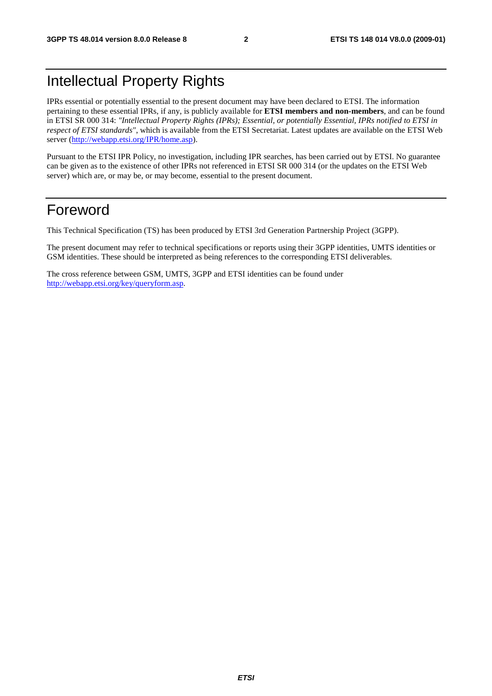# Intellectual Property Rights

IPRs essential or potentially essential to the present document may have been declared to ETSI. The information pertaining to these essential IPRs, if any, is publicly available for **ETSI members and non-members**, and can be found in ETSI SR 000 314: *"Intellectual Property Rights (IPRs); Essential, or potentially Essential, IPRs notified to ETSI in respect of ETSI standards"*, which is available from the ETSI Secretariat. Latest updates are available on the ETSI Web server ([http://webapp.etsi.org/IPR/home.asp\)](http://webapp.etsi.org/IPR/home.asp).

Pursuant to the ETSI IPR Policy, no investigation, including IPR searches, has been carried out by ETSI. No guarantee can be given as to the existence of other IPRs not referenced in ETSI SR 000 314 (or the updates on the ETSI Web server) which are, or may be, or may become, essential to the present document.

## Foreword

This Technical Specification (TS) has been produced by ETSI 3rd Generation Partnership Project (3GPP).

The present document may refer to technical specifications or reports using their 3GPP identities, UMTS identities or GSM identities. These should be interpreted as being references to the corresponding ETSI deliverables.

The cross reference between GSM, UMTS, 3GPP and ETSI identities can be found under [http://webapp.etsi.org/key/queryform.asp.](http://webapp.etsi.org/key/queryform.asp)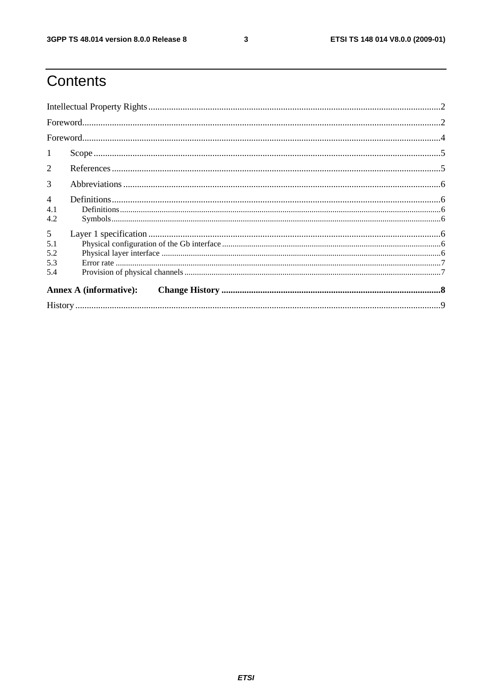$\mathbf{3}$ 

# Contents

| -1                            |  |  |  |  |  |
|-------------------------------|--|--|--|--|--|
| $\overline{2}$                |  |  |  |  |  |
| 3                             |  |  |  |  |  |
| $\overline{4}$                |  |  |  |  |  |
| 4.1                           |  |  |  |  |  |
| 4.2                           |  |  |  |  |  |
| 5                             |  |  |  |  |  |
| 5.1                           |  |  |  |  |  |
| 5.2                           |  |  |  |  |  |
| 5.3                           |  |  |  |  |  |
| 5.4                           |  |  |  |  |  |
| <b>Annex A (informative):</b> |  |  |  |  |  |
|                               |  |  |  |  |  |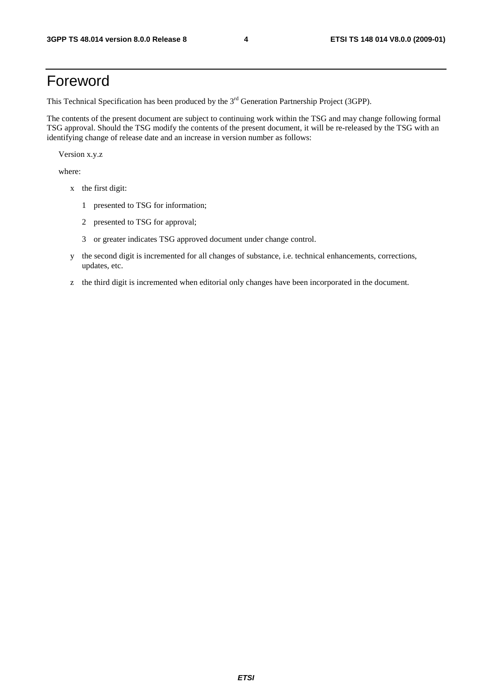# Foreword

This Technical Specification has been produced by the 3<sup>rd</sup> Generation Partnership Project (3GPP).

The contents of the present document are subject to continuing work within the TSG and may change following formal TSG approval. Should the TSG modify the contents of the present document, it will be re-released by the TSG with an identifying change of release date and an increase in version number as follows:

Version x.y.z

where:

- x the first digit:
	- 1 presented to TSG for information;
	- 2 presented to TSG for approval;
	- 3 or greater indicates TSG approved document under change control.
- y the second digit is incremented for all changes of substance, i.e. technical enhancements, corrections, updates, etc.
- z the third digit is incremented when editorial only changes have been incorporated in the document.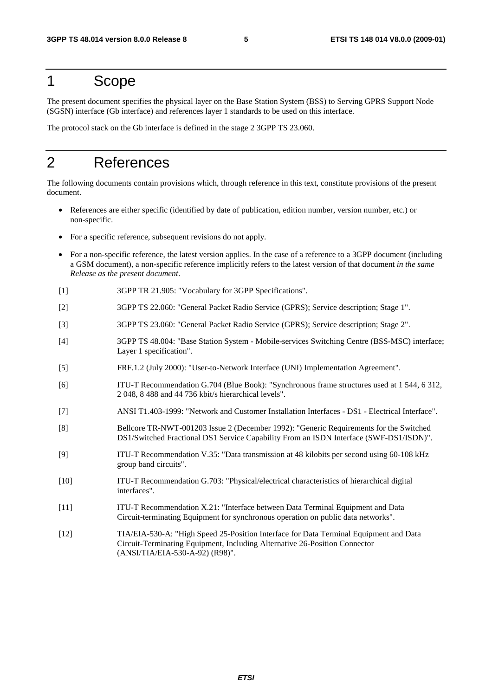## 1 Scope

The present document specifies the physical layer on the Base Station System (BSS) to Serving GPRS Support Node (SGSN) interface (Gb interface) and references layer 1 standards to be used on this interface.

The protocol stack on the Gb interface is defined in the stage 2 3GPP TS 23.060.

# 2 References

The following documents contain provisions which, through reference in this text, constitute provisions of the present document.

- References are either specific (identified by date of publication, edition number, version number, etc.) or non-specific.
- For a specific reference, subsequent revisions do not apply.
- For a non-specific reference, the latest version applies. In the case of a reference to a 3GPP document (including a GSM document), a non-specific reference implicitly refers to the latest version of that document *in the same Release as the present document*.
- [1] 3GPP TR 21.905: "Vocabulary for 3GPP Specifications".
- [2] 3GPP TS 22.060: "General Packet Radio Service (GPRS); Service description; Stage 1".
- [3] 3GPP TS 23.060: "General Packet Radio Service (GPRS); Service description; Stage 2".
- [4] 3GPP TS 48.004: "Base Station System Mobile-services Switching Centre (BSS-MSC) interface; Layer 1 specification".
- [5] FRF.1.2 (July 2000): "User-to-Network Interface (UNI) Implementation Agreement".
- [6] ITU-T Recommendation G.704 (Blue Book): "Synchronous frame structures used at 1 544, 6 312, 2 048, 8 488 and 44 736 kbit/s hierarchical levels".
- [7] ANSI T1.403-1999: "Network and Customer Installation Interfaces DS1 Electrical Interface".
- [8] Bellcore TR-NWT-001203 Issue 2 (December 1992): "Generic Requirements for the Switched DS1/Switched Fractional DS1 Service Capability From an ISDN Interface (SWF-DS1/ISDN)".
- [9] ITU-T Recommendation V.35: "Data transmission at 48 kilobits per second using 60-108 kHz group band circuits".
- [10] ITU-T Recommendation G.703: "Physical/electrical characteristics of hierarchical digital interfaces".
- [11] ITU-T Recommendation X.21: "Interface between Data Terminal Equipment and Data Circuit-terminating Equipment for synchronous operation on public data networks".
- [12] TIA/EIA-530-A: "High Speed 25-Position Interface for Data Terminal Equipment and Data Circuit-Terminating Equipment, Including Alternative 26-Position Connector (ANSI/TIA/EIA-530-A-92) (R98)".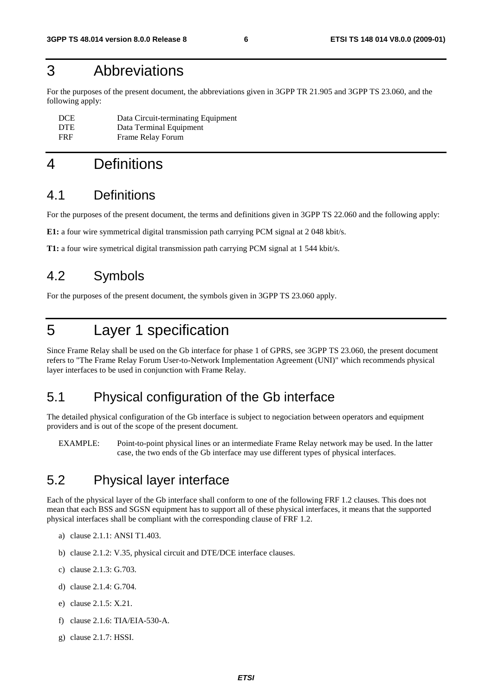# 3 Abbreviations

For the purposes of the present document, the abbreviations given in 3GPP TR 21.905 and 3GPP TS 23.060, and the following apply:

| <b>DCE</b> | Data Circuit-terminating Equipment |
|------------|------------------------------------|
| <b>DTE</b> | Data Terminal Equipment            |
| <b>FRF</b> | Frame Relay Forum                  |

# 4 Definitions

#### 4.1 Definitions

For the purposes of the present document, the terms and definitions given in 3GPP TS 22.060 and the following apply:

**E1:** a four wire symmetrical digital transmission path carrying PCM signal at 2 048 kbit/s.

**T1:** a four wire symetrical digital transmission path carrying PCM signal at 1 544 kbit/s.

### 4.2 Symbols

For the purposes of the present document, the symbols given in 3GPP TS 23.060 apply.

# 5 Layer 1 specification

Since Frame Relay shall be used on the Gb interface for phase 1 of GPRS, see 3GPP TS 23.060, the present document refers to "The Frame Relay Forum User-to-Network Implementation Agreement (UNI)" which recommends physical layer interfaces to be used in conjunction with Frame Relay.

### 5.1 Physical configuration of the Gb interface

The detailed physical configuration of the Gb interface is subject to negociation between operators and equipment providers and is out of the scope of the present document.

EXAMPLE: Point-to-point physical lines or an intermediate Frame Relay network may be used. In the latter case, the two ends of the Gb interface may use different types of physical interfaces.

### 5.2 Physical layer interface

Each of the physical layer of the Gb interface shall conform to one of the following FRF 1.2 clauses. This does not mean that each BSS and SGSN equipment has to support all of these physical interfaces, it means that the supported physical interfaces shall be compliant with the corresponding clause of FRF 1.2.

- a) clause 2.1.1: ANSI T1.403.
- b) clause 2.1.2: V.35, physical circuit and DTE/DCE interface clauses.
- c) clause 2.1.3: G.703.
- d) clause 2.1.4: G.704.
- e) clause 2.1.5: X.21.
- f) clause 2.1.6: TIA/EIA-530-A.
- g) clause 2.1.7: HSSI.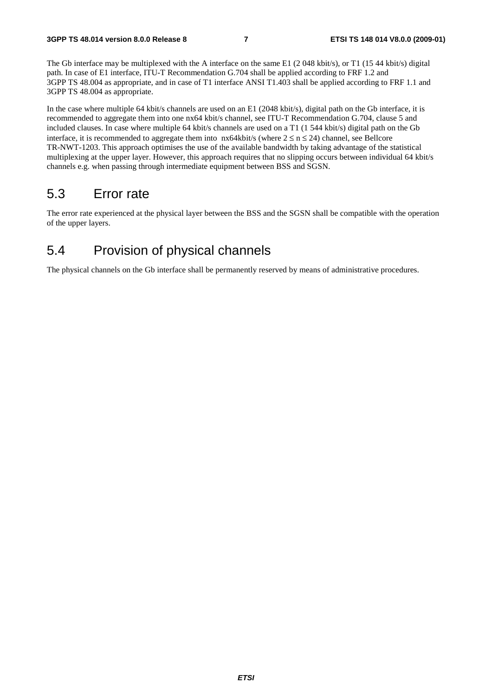The Gb interface may be multiplexed with the A interface on the same E1 (2048 kbit/s), or T1 (1544 kbit/s) digital path. In case of E1 interface, ITU-T Recommendation G.704 shall be applied according to FRF 1.2 and 3GPP TS 48.004 as appropriate, and in case of T1 interface ANSI T1.403 shall be applied according to FRF 1.1 and 3GPP TS 48.004 as appropriate.

In the case where multiple 64 kbit/s channels are used on an E1 (2048 kbit/s), digital path on the Gb interface, it is recommended to aggregate them into one nx64 kbit/s channel, see ITU-T Recommendation G.704, clause 5 and included clauses. In case where multiple 64 kbit/s channels are used on a T1 (1 544 kbit/s) digital path on the Gb interface, it is recommended to aggregate them into  $nx64kbit/s$  (where  $2 \le n \le 24$ ) channel, see Bellcore TR-NWT-1203. This approach optimises the use of the available bandwidth by taking advantage of the statistical multiplexing at the upper layer. However, this approach requires that no slipping occurs between individual 64 kbit/s channels e.g. when passing through intermediate equipment between BSS and SGSN.

#### 5.3 Error rate

The error rate experienced at the physical layer between the BSS and the SGSN shall be compatible with the operation of the upper layers.

### 5.4 Provision of physical channels

The physical channels on the Gb interface shall be permanently reserved by means of administrative procedures.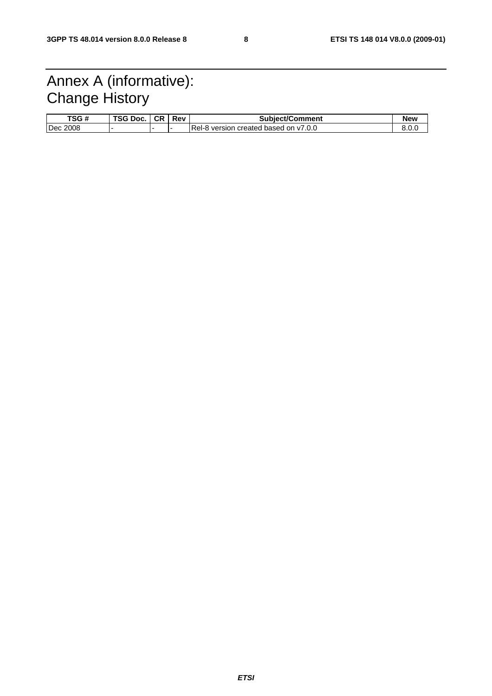# Annex A (informative): Change History

| TSG#     | TSG Doc. | <b>CR</b> | Rev | <b>Subject/Comment</b>                | New   |
|----------|----------|-----------|-----|---------------------------------------|-------|
| Dec 2008 |          |           |     | Rel-8 version created based on y7.0.0 | 0.v.u |